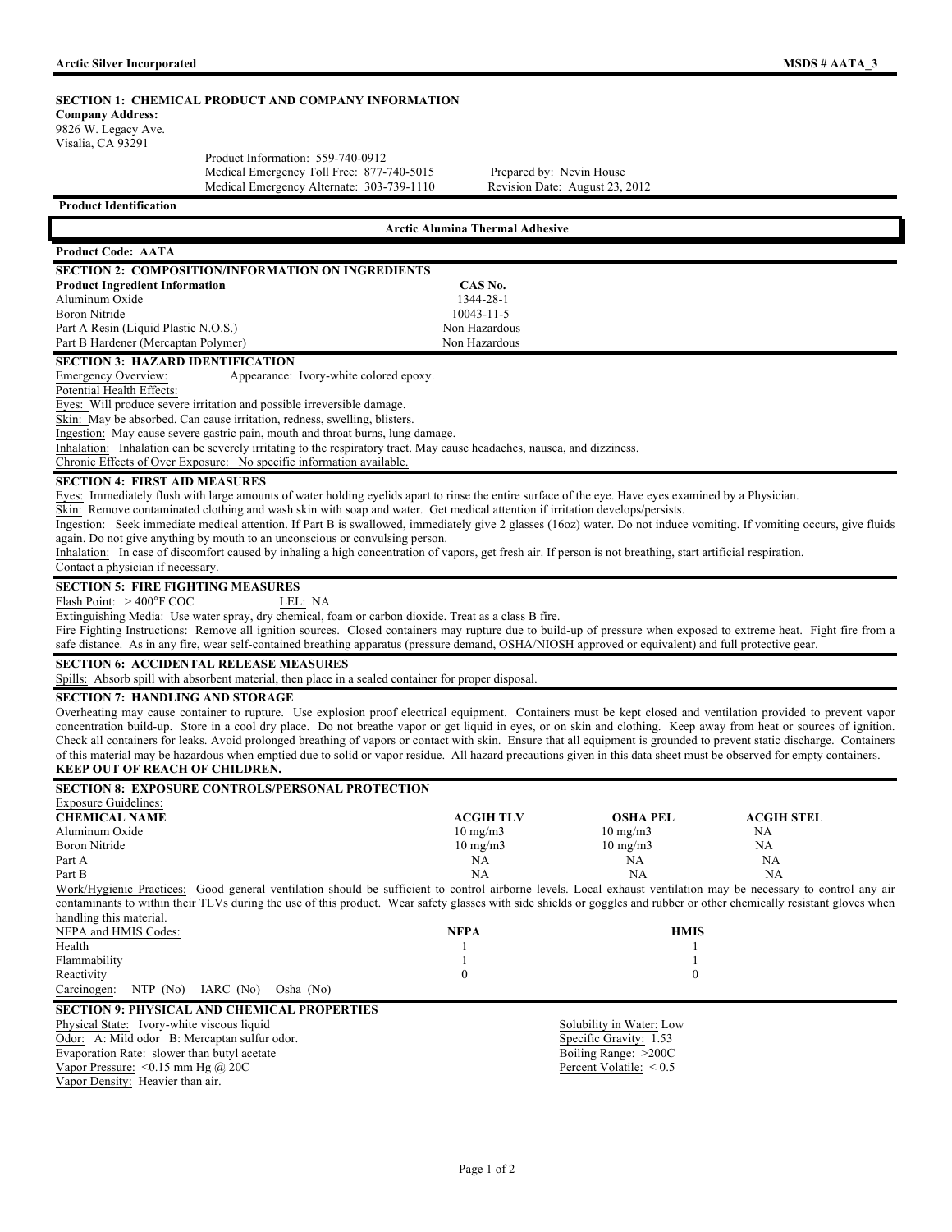|  | MSDS # AATA 3 |  |
|--|---------------|--|
|  |               |  |

| <b>MSDS # AATA 3</b>                                                                                                                                                                                                                                  |  |
|-------------------------------------------------------------------------------------------------------------------------------------------------------------------------------------------------------------------------------------------------------|--|
| <b>SECTION 1: CHEMICAL PRODUCT AND COMPANY INFORMATION</b>                                                                                                                                                                                            |  |
| Medical Emergency Toll Free: 877-740-5015<br>Prepared by: Nevin House<br>Medical Emergency Alternate: 303-739-1110<br>Revision Date: August 23, 2012                                                                                                  |  |
|                                                                                                                                                                                                                                                       |  |
| <b>Arctic Alumina Thermal Adhesive</b>                                                                                                                                                                                                                |  |
|                                                                                                                                                                                                                                                       |  |
| <b>SECTION 2: COMPOSITION/INFORMATION ON INGREDIENTS</b>                                                                                                                                                                                              |  |
| CAS No.                                                                                                                                                                                                                                               |  |
| 1344-28-1                                                                                                                                                                                                                                             |  |
| 10043-11-5                                                                                                                                                                                                                                            |  |
| Non Hazardous                                                                                                                                                                                                                                         |  |
| Non Hazardous                                                                                                                                                                                                                                         |  |
|                                                                                                                                                                                                                                                       |  |
| Appearance: Ivory-white colored epoxy.                                                                                                                                                                                                                |  |
|                                                                                                                                                                                                                                                       |  |
|                                                                                                                                                                                                                                                       |  |
|                                                                                                                                                                                                                                                       |  |
| Ingestion: May cause severe gastric pain, mouth and throat burns, lung damage.                                                                                                                                                                        |  |
| Inhalation: Inhalation can be severely irritating to the respiratory tract. May cause headaches, nausea, and dizziness.                                                                                                                               |  |
|                                                                                                                                                                                                                                                       |  |
|                                                                                                                                                                                                                                                       |  |
| Eyes: Immediately flush with large amounts of water holding eyelids apart to rinse the entire surface of the eye. Have eyes examined by a Physician.                                                                                                  |  |
| Skin: Remove contaminated clothing and wash skin with soap and water. Get medical attention if irritation develops/persists.                                                                                                                          |  |
| Ingestion: Seek immediate medical attention. If Part B is swallowed, immediately give 2 glasses (160z) water. Do not induce vomiting. If vomiting occurs, give fluids<br>again. Do not give anything by mouth to an unconscious or convulsing person. |  |
| Inhalation: In case of discomfort caused by inhaling a high concentration of vapors, get fresh air. If person is not breathing, start artificial respiration.                                                                                         |  |
|                                                                                                                                                                                                                                                       |  |
|                                                                                                                                                                                                                                                       |  |
|                                                                                                                                                                                                                                                       |  |
| Extinguishing Media: Use water spray, dry chemical, foam or carbon dioxide. Treat as a class B fire.                                                                                                                                                  |  |
|                                                                                                                                                                                                                                                       |  |

Fire Fighting Instructions: Remove all ignition sources. Closed containers may rupture due to build-up of pressure when exposed to extreme heat. Fight fire from a safe distance. As in any fire, wear self-contained breathing apparatus (pressure demand, OSHA/NIOSH approved or equivalent) and full protective gear.

**SECTION 6: ACCIDENTAL RELEASE MEASURES**

Spills: Absorb spill with absorbent material, then place in a sealed container for proper disposal.

**SECTION 7: HANDLING AND STORAGE** 

Overheating may cause container to rupture. Use explosion proof electrical equipment. Containers must be kept closed and ventilation provided to prevent vapor concentration build-up. Store in a cool dry place. Do not breathe vapor or get liquid in eyes, or on skin and clothing. Keep away from heat or sources of ignition. Check all containers for leaks. Avoid prolonged breathing of vapors or contact with skin. Ensure that all equipment is grounded to prevent static discharge. Containers of this material may be hazardous when emptied due to solid or vapor residue. All hazard precautions given in this data sheet must be observed for empty containers. **KEEP OUT OF REACH OF CHILDREN.**

### **SECTION 8: EXPOSURE CONTROLS/PERSONAL PROTECTION**  Exposure Guidelines: **CHEMICAL NAME** ACGIH TLV **OSHA PEL ACGIH STEL**<br>Aluminum Oxide 10 mg/m3 10 mg/m3 NA Aluminum Oxide 10 mg/m3 10 mg/m3 NA Boron Nitride 10 mg/m3 10 mg/m3 10 mg/m3 NA Part A NA NA NA Part B NA NA NA Work/Hygienic Practices: Good general ventilation should be sufficient to control airborne levels. Local exhaust ventilation may be necessary to control any air contaminants to within their TLVs during the use of this product. Wear safety glasses with side shields or goggles and rubber or other chemically resistant gloves when handling this material. NFPA and HMIS Codes: **NFPA HMIS** Health 1 1 Flammability 1 1 Reactivity  $0$  0 Carcinogen: NTP (No) IARC (No) Osha (No) **SECTION 9: PHYSICAL AND CHEMICAL PROPERTIES**

| Physical State: Ivory-white viscous liquid   | Solubility in Water: Low  |
|----------------------------------------------|---------------------------|
| Odor: A: Mild odor B: Mercaptan sulfur odor. | Specific Gravity: 1.53    |
| Evaporation Rate: slower than butyl acetate  | Boiling Range: $>200C$    |
| Vapor Pressure: $\leq 0.15$ mm Hg @ 20C      | Percent Volatile: $< 0.5$ |
| Vapor Density: Heavier than air.             |                           |